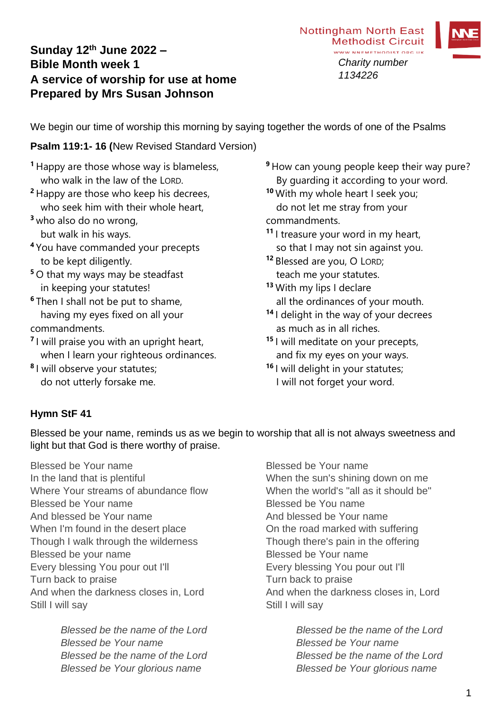# **Sunday 12th June 2022 – Bible Month week 1 A service of worship for use at home Prepared by Mrs Susan Johnson**



We begin our time of worship this morning by saying together the words of one of the Psalms

#### **Psalm 119:1- 16 (**New Revised Standard Version)

- **<sup>1</sup>** Happy are those whose way is blameless, who walk in the law of the LORD.
- **<sup>2</sup>** Happy are those who keep his decrees, who seek him with their whole heart.
- **<sup>3</sup>** who also do no wrong,
	- but walk in his ways.
- **<sup>4</sup>** You have commanded your precepts to be kept diligently.
- **<sup>5</sup>** O that my ways may be steadfast in keeping your statutes!
- **<sup>6</sup>** Then I shall not be put to shame, having my eyes fixed on all your commandments.
- **7** I will praise you with an upright heart, when I learn your righteous ordinances.
- **8** I will observe your statutes; do not utterly forsake me.
- **<sup>9</sup>** How can young people keep their way pure? By guarding it according to your word.
- **<sup>10</sup>** With my whole heart I seek you; do not let me stray from your commandments.
- **<sup>11</sup>** I treasure your word in my heart, so that I may not sin against you.
- **<sup>12</sup>** Blessed are you, O LORD; teach me your statutes.
- **<sup>13</sup>** With my lips I declare all the ordinances of your mouth.
- **<sup>14</sup>** I delight in the way of your decrees as much as in all riches.
- **<sup>15</sup>** I will meditate on your precepts, and fix my eyes on your ways.
- **<sup>16</sup>** I will delight in your statutes; I will not forget your word.

### **Hymn StF 41**

Blessed be your name, reminds us as we begin to worship that all is not always sweetness and light but that God is there worthy of praise.

Blessed be Your name In the land that is plentiful Where Your streams of abundance flow Blessed be Your name And blessed be Your name When I'm found in the desert place Though I walk through the wilderness Blessed be your name Every blessing You pour out I'll Turn back to praise And when the darkness closes in, Lord Still I will sav

> *Blessed be the name of the Lord Blessed be Your name Blessed be the name of the Lord Blessed be Your glorious name*

Blessed be Your name When the sun's shining down on me When the world's "all as it should be" Blessed be You name And blessed be Your name On the road marked with suffering Though there's pain in the offering Blessed be Your name Every blessing You pour out I'll Turn back to praise And when the darkness closes in, Lord Still I will say

> *Blessed be the name of the Lord Blessed be Your name Blessed be the name of the Lord Blessed be Your glorious name*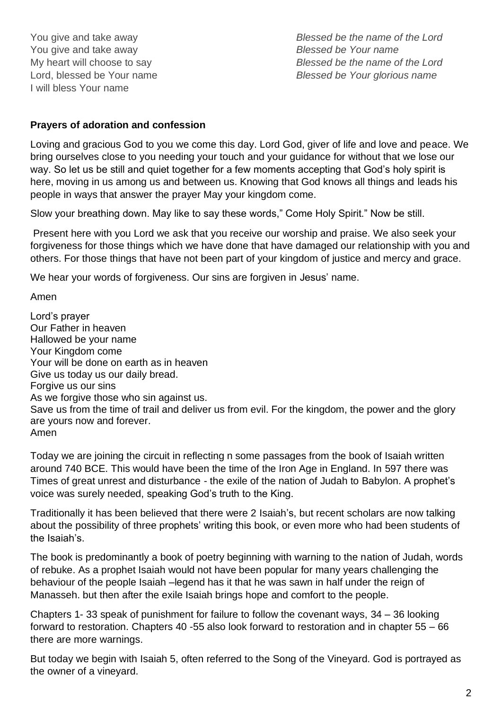You give and take away You give and take away My heart will choose to say Lord, blessed be Your name I will bless Your name

*Blessed be the name of the Lord Blessed be Your name Blessed be the name of the Lord Blessed be Your glorious name*

#### **Prayers of adoration and confession**

Loving and gracious God to you we come this day. Lord God, giver of life and love and peace. We bring ourselves close to you needing your touch and your guidance for without that we lose our way. So let us be still and quiet together for a few moments accepting that God's holy spirit is here, moving in us among us and between us. Knowing that God knows all things and leads his people in ways that answer the prayer May your kingdom come.

Slow your breathing down. May like to say these words," Come Holy Spirit." Now be still.

Present here with you Lord we ask that you receive our worship and praise. We also seek your forgiveness for those things which we have done that have damaged our relationship with you and others. For those things that have not been part of your kingdom of justice and mercy and grace.

We hear your words of forgiveness. Our sins are forgiven in Jesus' name.

Amen

Lord's prayer Our Father in heaven Hallowed be your name Your Kingdom come Your will be done on earth as in heaven Give us today us our daily bread. Forgive us our sins As we forgive those who sin against us. Save us from the time of trail and deliver us from evil. For the kingdom, the power and the glory are yours now and forever. Amen

Today we are joining the circuit in reflecting n some passages from the book of Isaiah written around 740 BCE. This would have been the time of the Iron Age in England. In 597 there was Times of great unrest and disturbance - the exile of the nation of Judah to Babylon. A prophet's voice was surely needed, speaking God's truth to the King.

Traditionally it has been believed that there were 2 Isaiah's, but recent scholars are now talking about the possibility of three prophets' writing this book, or even more who had been students of the Isaiah's.

The book is predominantly a book of poetry beginning with warning to the nation of Judah, words of rebuke. As a prophet Isaiah would not have been popular for many years challenging the behaviour of the people Isaiah –legend has it that he was sawn in half under the reign of Manasseh. but then after the exile Isaiah brings hope and comfort to the people.

Chapters 1- 33 speak of punishment for failure to follow the covenant ways, 34 – 36 looking forward to restoration. Chapters 40 -55 also look forward to restoration and in chapter 55 – 66 there are more warnings.

But today we begin with Isaiah 5, often referred to the Song of the Vineyard. God is portrayed as the owner of a vineyard.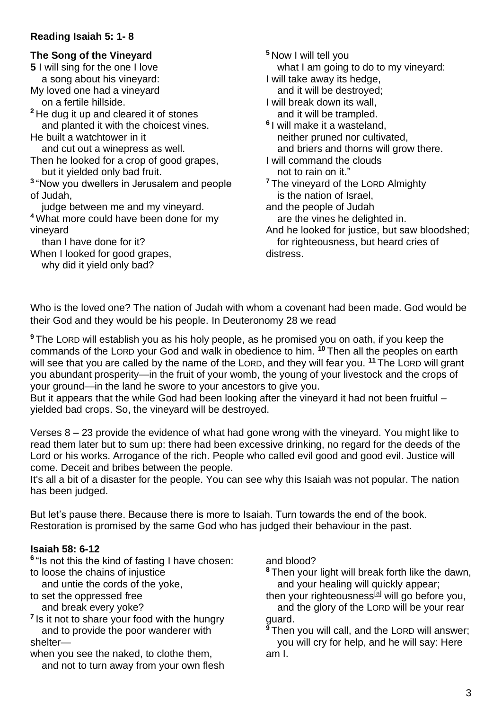#### **Reading Isaiah 5: 1- 8**

### **The Song of the Vineyard**

**5** I will sing for the one I love a song about his vineyard:

My loved one had a vineyard on a fertile hillside.

**<sup>2</sup>** He dug it up and cleared it of stones and planted it with the choicest vines.

He built a watchtower in it and cut out a winepress as well.

Then he looked for a crop of good grapes, but it yielded only bad fruit.

**3** "Now you dwellers in Jerusalem and people of Judah,

 judge between me and my vineyard. **<sup>4</sup>** What more could have been done for my vineyard

than I have done for it?

When I looked for good grapes,

why did it yield only bad?

**<sup>5</sup>** Now I will tell you what I am going to do to my vineyard: I will take away its hedge, and it will be destroyed; I will break down its wall, and it will be trampled. **6** I will make it a wasteland, neither pruned nor cultivated, and briers and thorns will grow there. I will command the clouds not to rain on it." **<sup>7</sup>** The vineyard of the LORD Almighty is the nation of Israel, and the people of Judah are the vines he delighted in. And he looked for justice, but saw bloodshed; for righteousness, but heard cries of distress.

Who is the loved one? The nation of Judah with whom a covenant had been made. God would be their God and they would be his people. In Deuteronomy 28 we read

**<sup>9</sup>** The LORD will establish you as his holy people, as he promised you on oath, if you keep the commands of the LORD your God and walk in obedience to him. **<sup>10</sup>** Then all the peoples on earth will see that you are called by the name of the LORD, and they will fear you. **<sup>11</sup>** The LORD will grant you abundant prosperity—in the fruit of your womb, the young of your livestock and the crops of your ground—in the land he swore to your ancestors to give you.

But it appears that the while God had been looking after the vineyard it had not been fruitful – yielded bad crops. So, the vineyard will be destroyed.

Verses 8 – 23 provide the evidence of what had gone wrong with the vineyard. You might like to read them later but to sum up: there had been excessive drinking, no regard for the deeds of the Lord or his works. Arrogance of the rich. People who called evil good and good evil. Justice will come. Deceit and bribes between the people.

It's all a bit of a disaster for the people. You can see why this Isaiah was not popular. The nation has been judged.

But let's pause there. Because there is more to Isaiah. Turn towards the end of the book. Restoration is promised by the same God who has judged their behaviour in the past.

#### **Isaiah 58: 6-12**

**6** "Is not this the kind of fasting I have chosen: to loose the chains of injustice

and untie the cords of the yoke,

to set the oppressed free

and break every yoke?

**7** Is it not to share your food with the hungry and to provide the poor wanderer with shelter—

when you see the naked, to clothe them, and not to turn away from your own flesh and blood?

**<sup>8</sup>** Then your light will break forth like the dawn, and your healing will quickly appear;

then your righteousness<sup>[\[a\]](https://www.biblegateway.com/passage/?search=Isaiah+58%3A+6-12&version=NIV#fen-NIV-18795a)</sup> will go before you. and the glory of the LORD will be your rear guard.

**<sup>9</sup>** Then you will call, and the LORD will answer; you will cry for help, and he will say: Here am I.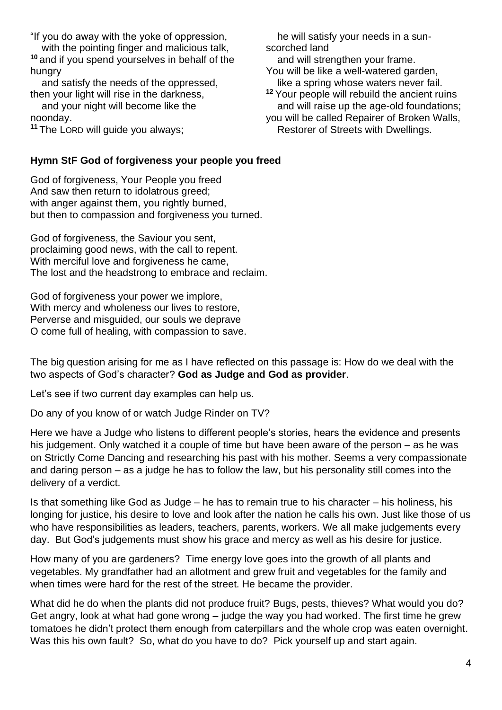"If you do away with the yoke of oppression, with the pointing finger and malicious talk, **<sup>10</sup>** and if you spend yourselves in behalf of the hungry

 and satisfy the needs of the oppressed, then your light will rise in the darkness,

 and your night will become like the noonday.

**<sup>11</sup>** The LORD will guide you always;

#### **Hymn StF God of forgiveness your people you freed**

God of forgiveness, Your People you freed And saw then return to idolatrous greed; with anger against them, you rightly burned, but then to compassion and forgiveness you turned.

God of forgiveness, the Saviour you sent, proclaiming good news, with the call to repent. With merciful love and forgiveness he came, The lost and the headstrong to embrace and reclaim.

God of forgiveness your power we implore, With mercy and wholeness our lives to restore, Perverse and misguided, our souls we deprave O come full of healing, with compassion to save.

The big question arising for me as I have reflected on this passage is: How do we deal with the two aspects of God's character? **God as Judge and God as provider**.

Let's see if two current day examples can help us.

Do any of you know of or watch Judge Rinder on TV?

Here we have a Judge who listens to different people's stories, hears the evidence and presents his judgement. Only watched it a couple of time but have been aware of the person – as he was on Strictly Come Dancing and researching his past with his mother. Seems a very compassionate and daring person – as a judge he has to follow the law, but his personality still comes into the delivery of a verdict.

Is that something like God as Judge – he has to remain true to his character – his holiness, his longing for justice, his desire to love and look after the nation he calls his own. Just like those of us who have responsibilities as leaders, teachers, parents, workers. We all make judgements every day. But God's judgements must show his grace and mercy as well as his desire for justice.

How many of you are gardeners? Time energy love goes into the growth of all plants and vegetables. My grandfather had an allotment and grew fruit and vegetables for the family and when times were hard for the rest of the street. He became the provider.

What did he do when the plants did not produce fruit? Bugs, pests, thieves? What would you do? Get angry, look at what had gone wrong – judge the way you had worked. The first time he grew tomatoes he didn't protect them enough from caterpillars and the whole crop was eaten overnight. Was this his own fault? So, what do you have to do? Pick yourself up and start again.

 he will satisfy your needs in a sunscorched land and will strengthen your frame. You will be like a well-watered garden, like a spring whose waters never fail. **<sup>12</sup>** Your people will rebuild the ancient ruins and will raise up the age-old foundations; you will be called Repairer of Broken Walls, Restorer of Streets with Dwellings.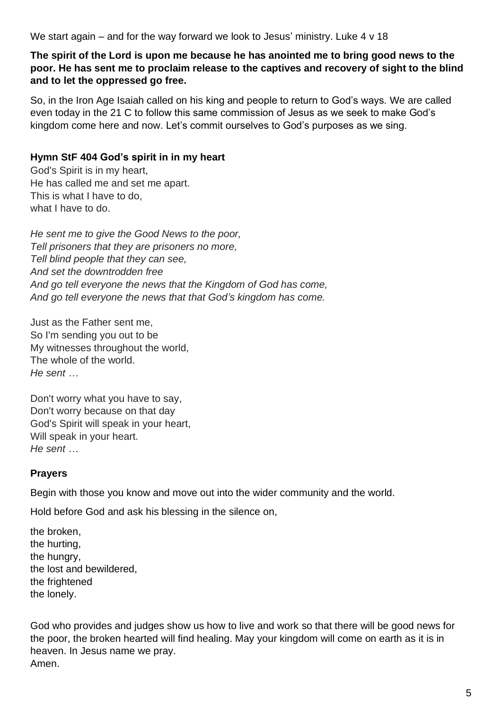We start again – and for the way forward we look to Jesus' ministry. Luke 4 v 18

#### **The spirit of the Lord is upon me because he has anointed me to bring good news to the poor. He has sent me to proclaim release to the captives and recovery of sight to the blind and to let the oppressed go free.**

So, in the Iron Age Isaiah called on his king and people to return to God's ways. We are called even today in the 21 C to follow this same commission of Jesus as we seek to make God's kingdom come here and now. Let's commit ourselves to God's purposes as we sing.

## **Hymn StF 404 God's spirit in in my heart**

God's Spirit is in my heart, He has called me and set me apart. This is what I have to do, what I have to do.

*He sent me to give the Good News to the poor, Tell prisoners that they are prisoners no more, Tell blind people that they can see, And set the downtrodden free And go tell everyone the news that the Kingdom of God has come, And go tell everyone the news that that God's kingdom has come.*

Just as the Father sent me, So I'm sending you out to be My witnesses throughout the world, The whole of the world. *He sent …*

Don't worry what you have to say, Don't worry because on that day God's Spirit will speak in your heart, Will speak in your heart. *He sent …*

### **Prayers**

Begin with those you know and move out into the wider community and the world.

Hold before God and ask his blessing in the silence on,

the broken, the hurting, the hungry, the lost and bewildered, the frightened the lonely.

God who provides and judges show us how to live and work so that there will be good news for the poor, the broken hearted will find healing. May your kingdom will come on earth as it is in heaven. In Jesus name we pray. Amen.